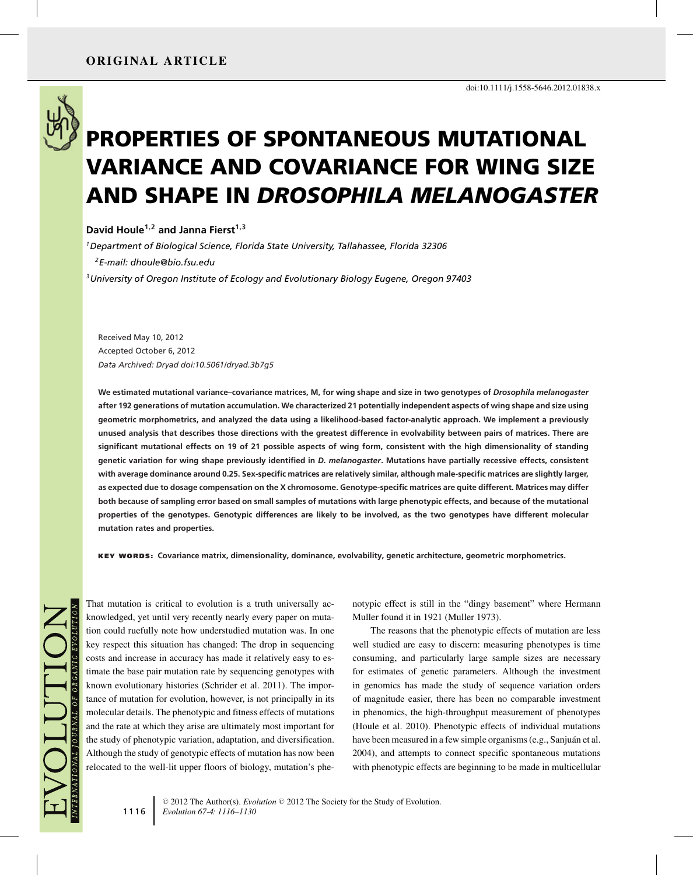

# **PROPERTIES OF SPONTANEOUS MUTATIONAL VARIANCE AND COVARIANCE FOR WING SIZE AND SHAPE IN** *DROSOPHILA MELANOGASTER*

**David Houle1,<sup>2</sup> and Janna Fierst1,<sup>3</sup>**

*1Department of Biological Science, Florida State University, Tallahassee, Florida 32306*

*2E-mail: dhoule@bio.fsu.edu*

*3University of Oregon Institute of Ecology and Evolutionary Biology Eugene, Oregon 97403*

Received May 10, 2012 Accepted October 6, 2012 *Data Archived: Dryad doi:10.5061/dryad.3b7g5*

**We estimated mutational variance–covariance matrices, M, for wing shape and size in two genotypes of** *Drosophila melanogaster* **after 192 generations of mutation accumulation. We characterized 21 potentially independent aspects of wing shape and size using geometric morphometrics, and analyzed the data using a likelihood-based factor-analytic approach. We implement a previously unused analysis that describes those directions with the greatest difference in evolvability between pairs of matrices. There are significant mutational effects on 19 of 21 possible aspects of wing form, consistent with the high dimensionality of standing genetic variation for wing shape previously identified in** *D. melanogaster***. Mutations have partially recessive effects, consistent with average dominance around 0.25. Sex-specific matrices are relatively similar, although male-specific matrices are slightly larger, as expected due to dosage compensation on the X chromosome. Genotype-specific matrices are quite different. Matrices may differ both because of sampling error based on small samples of mutations with large phenotypic effects, and because of the mutational properties of the genotypes. Genotypic differences are likely to be involved, as the two genotypes have different molecular mutation rates and properties.**

**KEY WORDS: Covariance matrix, dimensionality, dominance, evolvability, genetic architecture, geometric morphometrics.**

That mutation is critical to evolution is a truth universally acknowledged, yet until very recently nearly every paper on mutation could ruefully note how understudied mutation was. In one key respect this situation has changed: The drop in sequencing costs and increase in accuracy has made it relatively easy to estimate the base pair mutation rate by sequencing genotypes with known evolutionary histories (Schrider et al. 2011). The importance of mutation for evolution, however, is not principally in its molecular details. The phenotypic and fitness effects of mutations and the rate at which they arise are ultimately most important for the study of phenotypic variation, adaptation, and diversification. Although the study of genotypic effects of mutation has now been relocated to the well-lit upper floors of biology, mutation's phenotypic effect is still in the "dingy basement" where Hermann Muller found it in 1921 (Muller 1973).

The reasons that the phenotypic effects of mutation are less well studied are easy to discern: measuring phenotypes is time consuming, and particularly large sample sizes are necessary for estimates of genetic parameters. Although the investment in genomics has made the study of sequence variation orders of magnitude easier, there has been no comparable investment in phenomics, the high-throughput measurement of phenotypes (Houle et al. 2010). Phenotypic effects of individual mutations have been measured in a few simple organisms (e.g., Sanjuán et al. 2004), and attempts to connect specific spontaneous mutations with phenotypic effects are beginning to be made in multicellular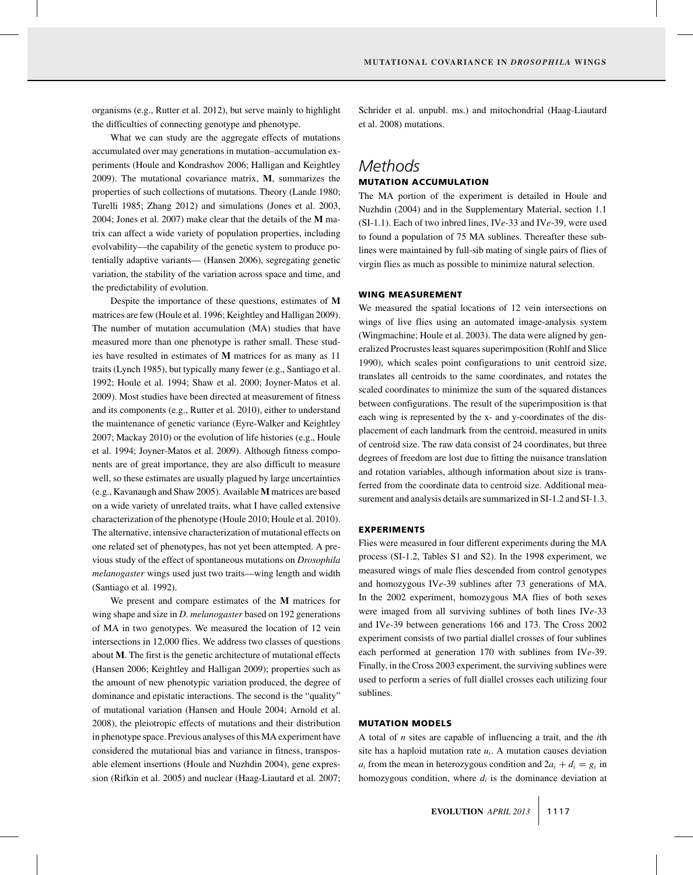organisms (e.g., Rutter et al. 2012), but serve mainly to highlight the difficulties of connecting genotype and phenotype.

What we can study are the aggregate effects of mutations accumulated over may generations in mutation–accumulation experiments (Houle and Kondrashov 2006; Halligan and Keightley 2009). The mutational covariance matrix, **M**, summarizes the properties of such collections of mutations. Theory (Lande 1980; Turelli 1985; Zhang 2012) and simulations (Jones et al. 2003, 2004; Jones et al. 2007) make clear that the details of the **M** matrix can affect a wide variety of population properties, including evolvability—the capability of the genetic system to produce potentially adaptive variants— (Hansen 2006), segregating genetic variation, the stability of the variation across space and time, and the predictability of evolution.

Despite the importance of these questions, estimates of **M** matrices are few (Houle et al. 1996; Keightley and Halligan 2009). The number of mutation accumulation (MA) studies that have measured more than one phenotype is rather small. These studies have resulted in estimates of **M** matrices for as many as 11 traits (Lynch 1985), but typically many fewer (e.g., Santiago et al. 1992; Houle et al. 1994; Shaw et al. 2000; Joyner-Matos et al. 2009). Most studies have been directed at measurement of fitness and its components (e.g., Rutter et al. 2010), either to understand the maintenance of genetic variance (Eyre-Walker and Keightley 2007; Mackay 2010) or the evolution of life histories (e.g., Houle et al. 1994; Joyner-Matos et al. 2009). Although fitness components are of great importance, they are also difficult to measure well, so these estimates are usually plagued by large uncertainties (e.g., Kavanaugh and Shaw 2005). Available **M** matrices are based on a wide variety of unrelated traits, what I have called extensive characterization of the phenotype (Houle 2010; Houle et al. 2010). The alternative, intensive characterization of mutational effects on one related set of phenotypes, has not yet been attempted. A previous study of the effect of spontaneous mutations on *Drosophila melanogaster* wings used just two traits—wing length and width (Santiago et al. 1992).

We present and compare estimates of the **M** matrices for wing shape and size in *D. melanogaster* based on 192 generations of MA in two genotypes. We measured the location of 12 vein intersections in 12,000 flies. We address two classes of questions about **M**. The first is the genetic architecture of mutational effects (Hansen 2006; Keightley and Halligan 2009); properties such as the amount of new phenotypic variation produced, the degree of dominance and epistatic interactions. The second is the "quality" of mutational variation (Hansen and Houle 2004; Arnold et al. 2008), the pleiotropic effects of mutations and their distribution in phenotype space. Previous analyses of this MA experiment have considered the mutational bias and variance in fitness, transposable element insertions (Houle and Nuzhdin 2004), gene expression (Rifkin et al. 2005) and nuclear (Haag-Liautard et al. 2007; Schrider et al. unpubl. ms.) and mitochondrial (Haag-Liautard et al. 2008) mutations.

### *Methods* **MUTATION ACCUMULATION**

The MA portion of the experiment is detailed in Houle and Nuzhdin (2004) and in the Supplementary Material, section 1.1 (SI-1.1). Each of two inbred lines, IV*e*-33 and IV*e*-39, were used to found a population of 75 MA sublines. Thereafter these sublines were maintained by full-sib mating of single pairs of flies of virgin flies as much as possible to minimize natural selection.

#### **WING MEASUREMENT**

We measured the spatial locations of 12 vein intersections on wings of live flies using an automated image-analysis system (Wingmachine; Houle et al. 2003). The data were aligned by generalized Procrustes least squares superimposition (Rohlf and Slice 1990), which scales point configurations to unit centroid size, translates all centroids to the same coordinates, and rotates the scaled coordinates to minimize the sum of the squared distances between configurations. The result of the superimposition is that each wing is represented by the x- and y-coordinates of the displacement of each landmark from the centroid, measured in units of centroid size. The raw data consist of 24 coordinates, but three degrees of freedom are lost due to fitting the nuisance translation and rotation variables, although information about size is transferred from the coordinate data to centroid size. Additional measurement and analysis details are summarized in SI-1.2 and SI-1.3.

#### **EXPERIMENTS**

Flies were measured in four different experiments during the MA process (SI-1.2, Tables S1 and S2). In the 1998 experiment, we measured wings of male flies descended from control genotypes and homozygous IV*e*-39 sublines after 73 generations of MA. In the 2002 experiment, homozygous MA flies of both sexes were imaged from all surviving sublines of both lines IV*e-*33 and IV*e-*39 between generations 166 and 173. The Cross 2002 experiment consists of two partial diallel crosses of four sublines each performed at generation 170 with sublines from IV*e*-39. Finally, in the Cross 2003 experiment, the surviving sublines were used to perform a series of full diallel crosses each utilizing four sublines.

#### **MUTATION MODELS**

A total of *n* sites are capable of influencing a trait, and the *i*th site has a haploid mutation rate  $u_i$ . A mutation causes deviation  $a_i$  from the mean in heterozygous condition and  $2a_i + d_i = g_i$  in homozygous condition, where  $d_i$  is the dominance deviation at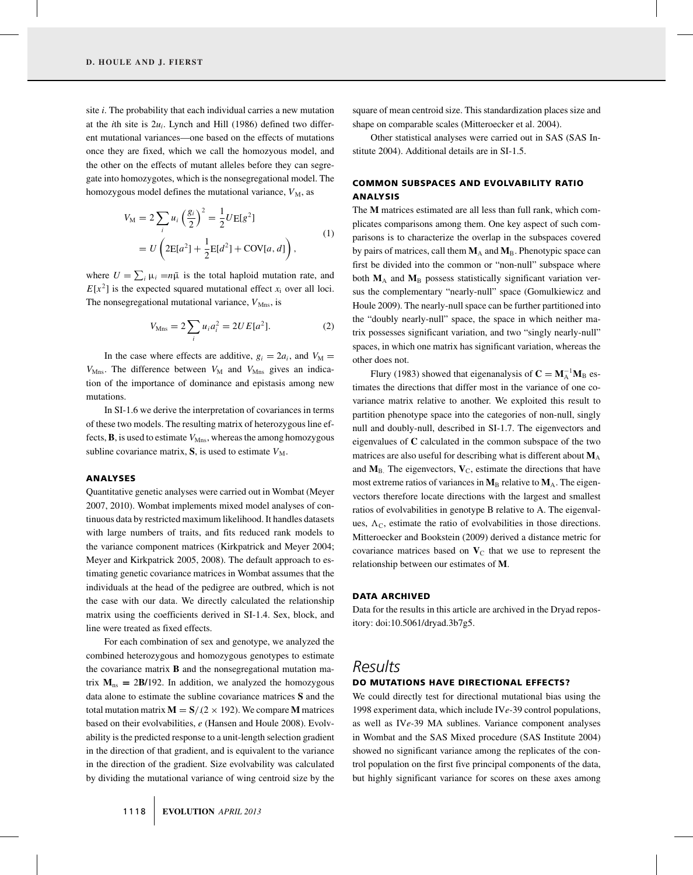site *i*. The probability that each individual carries a new mutation at the *i*th site is 2*ui*. Lynch and Hill (1986) defined two different mutational variances—one based on the effects of mutations once they are fixed, which we call the homozyous model, and the other on the effects of mutant alleles before they can segregate into homozygotes, which is the nonsegregational model. The homozygous model defines the mutational variance,  $V_M$ , as

$$
V_{\rm M} = 2 \sum_{i} u_{i} \left(\frac{g_{i}}{2}\right)^{2} = \frac{1}{2} U \mathbb{E}[g^{2}]
$$
  
=  $U \left(2\mathbb{E}[a^{2}] + \frac{1}{2}\mathbb{E}[d^{2}] + \text{COV}[a, d]\right),$  (1)

where  $U = \sum_i \mu_i = n\bar{\mu}$  is the total haploid mutation rate, and  $E[x^2]$  is the expected squared mutational effect  $x_i$  over all loci. The nonsegregational mutational variance,  $V_{Mns}$ , is

$$
V_{\text{Mns}} = 2 \sum_{i} u_i a_i^2 = 2UE[a^2].
$$
 (2)

In the case where effects are additive,  $g_i = 2a_i$ , and  $V_M =$  $V_{\text{Mns}}$ . The difference between  $V_{\text{M}}$  and  $V_{\text{Mns}}$  gives an indication of the importance of dominance and epistasis among new mutations.

In SI-1.6 we derive the interpretation of covariances in terms of these two models. The resulting matrix of heterozygous line effects,  $\bf{B}$ , is used to estimate  $V_{Mns}$ , whereas the among homozygous subline covariance matrix,  $S$ , is used to estimate  $V_M$ .

#### **ANALYSES**

Quantitative genetic analyses were carried out in Wombat (Meyer 2007, 2010). Wombat implements mixed model analyses of continuous data by restricted maximum likelihood. It handles datasets with large numbers of traits, and fits reduced rank models to the variance component matrices (Kirkpatrick and Meyer 2004; Meyer and Kirkpatrick 2005, 2008). The default approach to estimating genetic covariance matrices in Wombat assumes that the individuals at the head of the pedigree are outbred, which is not the case with our data. We directly calculated the relationship matrix using the coefficients derived in SI-1.4. Sex, block, and line were treated as fixed effects.

For each combination of sex and genotype, we analyzed the combined heterozygous and homozygous genotypes to estimate the covariance matrix **B** and the nonsegregational mutation matrix  $M_{ns} = 2B/192$ . In addition, we analyzed the homozygous data alone to estimate the subline covariance matrices **S** and the total mutation matrix  $M = S/(2 \times 192)$ . We compare M matrices based on their evolvabilities, *e* (Hansen and Houle 2008). Evolvability is the predicted response to a unit-length selection gradient in the direction of that gradient, and is equivalent to the variance in the direction of the gradient. Size evolvability was calculated by dividing the mutational variance of wing centroid size by the square of mean centroid size. This standardization places size and shape on comparable scales (Mitteroecker et al. 2004).

Other statistical analyses were carried out in SAS (SAS Institute 2004). Additional details are in SI-1.5.

### **COMMON SUBSPACES AND EVOLVABILITY RATIO ANALYSIS**

The **M** matrices estimated are all less than full rank, which complicates comparisons among them. One key aspect of such comparisons is to characterize the overlap in the subspaces covered by pairs of matrices, call them  $M_A$  and  $M_B$ . Phenotypic space can first be divided into the common or "non-null" subspace where both  $M_A$  and  $M_B$  possess statistically significant variation versus the complementary "nearly-null" space (Gomulkiewicz and Houle 2009). The nearly-null space can be further partitioned into the "doubly nearly-null" space, the space in which neither matrix possesses significant variation, and two "singly nearly-null" spaces, in which one matrix has significant variation, whereas the other does not.

Flury (1983) showed that eigenanalysis of  $C = M_A^{-1}M_B$  estimates the directions that differ most in the variance of one covariance matrix relative to another. We exploited this result to partition phenotype space into the categories of non-null, singly null and doubly-null, described in SI-1.7. The eigenvectors and eigenvalues of **C** calculated in the common subspace of the two matrices are also useful for describing what is different about  $M_A$ and  $M_B$ . The eigenvectors,  $V_C$ , estimate the directions that have most extreme ratios of variances in  $M_B$  relative to  $M_A$ . The eigenvectors therefore locate directions with the largest and smallest ratios of evolvabilities in genotype B relative to A. The eigenvalues,  $\Lambda_c$ , estimate the ratio of evolvabilities in those directions. Mitteroecker and Bookstein (2009) derived a distance metric for covariance matrices based on  $V<sub>C</sub>$  that we use to represent the relationship between our estimates of **M**.

#### **DATA ARCHIVED**

Data for the results in this article are archived in the Dryad repository: doi:10.5061/dryad.3b7g5.

## *Results*

#### **DO MUTATIONS HAVE DIRECTIONAL EFFECTS?**

We could directly test for directional mutational bias using the 1998 experiment data, which include IV*e-*39 control populations, as well as IV*e-*39 MA sublines. Variance component analyses in Wombat and the SAS Mixed procedure (SAS Institute 2004) showed no significant variance among the replicates of the control population on the first five principal components of the data, but highly significant variance for scores on these axes among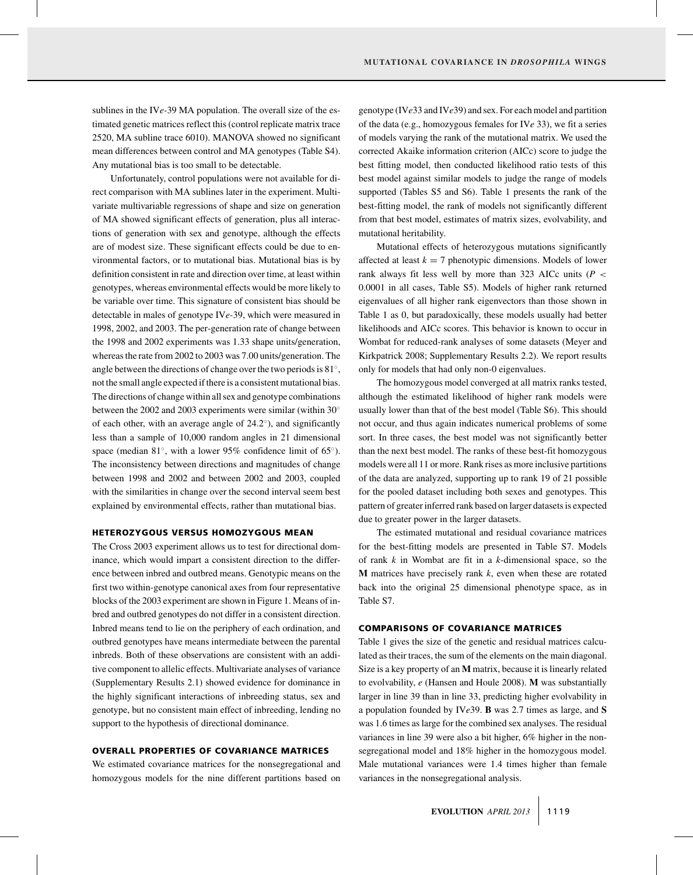sublines in the IV*e-*39 MA population. The overall size of the estimated genetic matrices reflect this (control replicate matrix trace 2520, MA subline trace 6010). MANOVA showed no significant mean differences between control and MA genotypes (Table S4). Any mutational bias is too small to be detectable.

Unfortunately, control populations were not available for direct comparison with MA sublines later in the experiment. Multivariate multivariable regressions of shape and size on generation of MA showed significant effects of generation, plus all interactions of generation with sex and genotype, although the effects are of modest size. These significant effects could be due to environmental factors, or to mutational bias. Mutational bias is by definition consistent in rate and direction over time, at least within genotypes, whereas environmental effects would be more likely to be variable over time. This signature of consistent bias should be detectable in males of genotype IV*e-*39, which were measured in 1998, 2002, and 2003. The per-generation rate of change between the 1998 and 2002 experiments was 1.33 shape units/generation, whereas the rate from 2002 to 2003 was 7.00 units/generation. The angle between the directions of change over the two periods is 81◦, not the small angle expected if there is a consistent mutational bias. The directions of change within all sex and genotype combinations between the 2002 and 2003 experiments were similar (within 30° of each other, with an average angle of 24.2◦), and significantly less than a sample of 10,000 random angles in 21 dimensional space (median 81◦, with a lower 95% confidence limit of 65◦). The inconsistency between directions and magnitudes of change between 1998 and 2002 and between 2002 and 2003, coupled with the similarities in change over the second interval seem best explained by environmental effects, rather than mutational bias.

#### **HETEROZYGOUS VERSUS HOMOZYGOUS MEAN**

The Cross 2003 experiment allows us to test for directional dominance, which would impart a consistent direction to the difference between inbred and outbred means. Genotypic means on the first two within-genotype canonical axes from four representative blocks of the 2003 experiment are shown in Figure 1. Means of inbred and outbred genotypes do not differ in a consistent direction. Inbred means tend to lie on the periphery of each ordination, and outbred genotypes have means intermediate between the parental inbreds. Both of these observations are consistent with an additive component to allelic effects. Multivariate analyses of variance (Supplementary Results 2.1) showed evidence for dominance in the highly significant interactions of inbreeding status, sex and genotype, but no consistent main effect of inbreeding, lending no support to the hypothesis of directional dominance.

#### **OVERALL PROPERTIES OF COVARIANCE MATRICES**

We estimated covariance matrices for the nonsegregational and homozygous models for the nine different partitions based on genotype (IV*e*33 and IV*e*39) and sex. For each model and partition of the data (e.g., homozygous females for IV*e* 33), we fit a series of models varying the rank of the mutational matrix. We used the corrected Akaike information criterion (AICc) score to judge the best fitting model, then conducted likelihood ratio tests of this best model against similar models to judge the range of models supported (Tables S5 and S6). Table 1 presents the rank of the best-fitting model, the rank of models not significantly different from that best model, estimates of matrix sizes, evolvability, and mutational heritability.

Mutational effects of heterozygous mutations significantly affected at least  $k = 7$  phenotypic dimensions. Models of lower rank always fit less well by more than 323 AICc units (*P* < 0.0001 in all cases, Table S5). Models of higher rank returned eigenvalues of all higher rank eigenvectors than those shown in Table 1 as 0, but paradoxically, these models usually had better likelihoods and AICc scores. This behavior is known to occur in Wombat for reduced-rank analyses of some datasets (Meyer and Kirkpatrick 2008; Supplementary Results 2.2). We report results only for models that had only non-0 eigenvalues.

The homozygous model converged at all matrix ranks tested, although the estimated likelihood of higher rank models were usually lower than that of the best model (Table S6). This should not occur, and thus again indicates numerical problems of some sort. In three cases, the best model was not significantly better than the next best model. The ranks of these best-fit homozygous models were all 11 or more. Rank rises as more inclusive partitions of the data are analyzed, supporting up to rank 19 of 21 possible for the pooled dataset including both sexes and genotypes. This pattern of greater inferred rank based on larger datasets is expected due to greater power in the larger datasets.

The estimated mutational and residual covariance matrices for the best-fitting models are presented in Table S7. Models of rank *k* in Wombat are fit in a *k*-dimensional space, so the **M** matrices have precisely rank *k*, even when these are rotated back into the original 25 dimensional phenotype space, as in Table S7.

#### **COMPARISONS OF COVARIANCE MATRICES**

Table 1 gives the size of the genetic and residual matrices calculated as their traces, the sum of the elements on the main diagonal. Size is a key property of an **M** matrix, because it is linearly related to evolvability, *e* (Hansen and Houle 2008). **M** was substantially larger in line 39 than in line 33, predicting higher evolvability in a population founded by IV*e*39. **B** was 2.7 times as large, and **S** was 1.6 times as large for the combined sex analyses. The residual variances in line 39 were also a bit higher, 6% higher in the nonsegregational model and 18% higher in the homozygous model. Male mutational variances were 1.4 times higher than female variances in the nonsegregational analysis.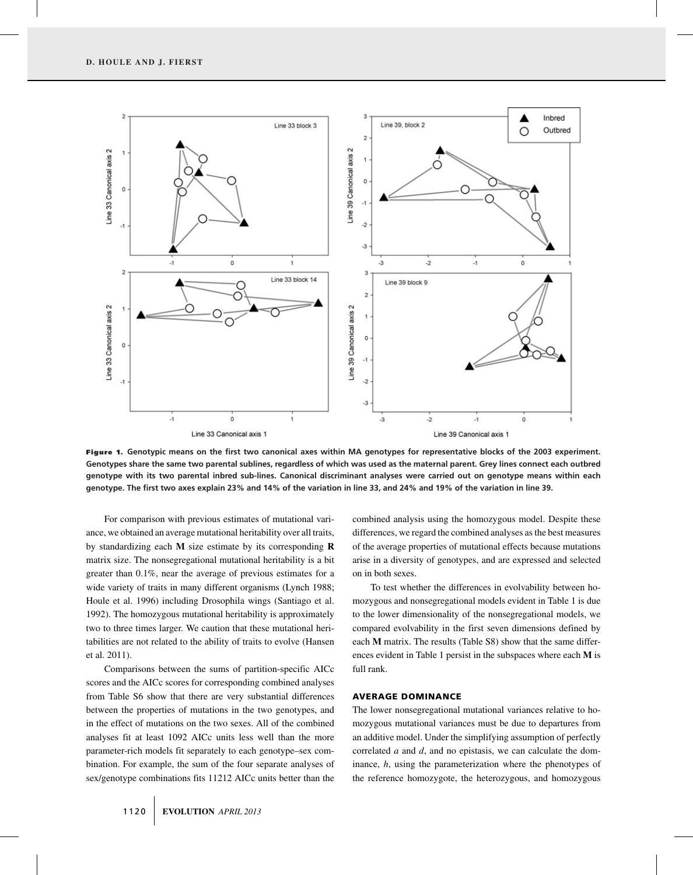

**Figure 1. Genotypic means on the first two canonical axes within MA genotypes for representative blocks of the 2003 experiment. Genotypes share the same two parental sublines, regardless of which was used as the maternal parent. Grey lines connect each outbred genotype with its two parental inbred sub-lines. Canonical discriminant analyses were carried out on genotype means within each genotype. The first two axes explain 23% and 14% of the variation in line 33, and 24% and 19% of the variation in line 39.**

For comparison with previous estimates of mutational variance, we obtained an average mutational heritability over all traits, by standardizing each **M** size estimate by its corresponding **R** matrix size. The nonsegregational mutational heritability is a bit greater than 0.1%, near the average of previous estimates for a wide variety of traits in many different organisms (Lynch 1988; Houle et al. 1996) including Drosophila wings (Santiago et al. 1992). The homozygous mutational heritability is approximately two to three times larger. We caution that these mutational heritabilities are not related to the ability of traits to evolve (Hansen et al. 2011).

Comparisons between the sums of partition-specific AICc scores and the AICc scores for corresponding combined analyses from Table S6 show that there are very substantial differences between the properties of mutations in the two genotypes, and in the effect of mutations on the two sexes. All of the combined analyses fit at least 1092 AICc units less well than the more parameter-rich models fit separately to each genotype–sex combination. For example, the sum of the four separate analyses of sex/genotype combinations fits 11212 AICc units better than the combined analysis using the homozygous model. Despite these differences, we regard the combined analyses as the best measures of the average properties of mutational effects because mutations arise in a diversity of genotypes, and are expressed and selected on in both sexes.

To test whether the differences in evolvability between homozygous and nonsegregational models evident in Table 1 is due to the lower dimensionality of the nonsegregational models, we compared evolvability in the first seven dimensions defined by each **M** matrix. The results (Table S8) show that the same differences evident in Table 1 persist in the subspaces where each **M** is full rank.

#### **AVERAGE DOMINANCE**

The lower nonsegregational mutational variances relative to homozygous mutational variances must be due to departures from an additive model. Under the simplifying assumption of perfectly correlated *a* and *d*, and no epistasis, we can calculate the dominance, *h*, using the parameterization where the phenotypes of the reference homozygote, the heterozygous, and homozygous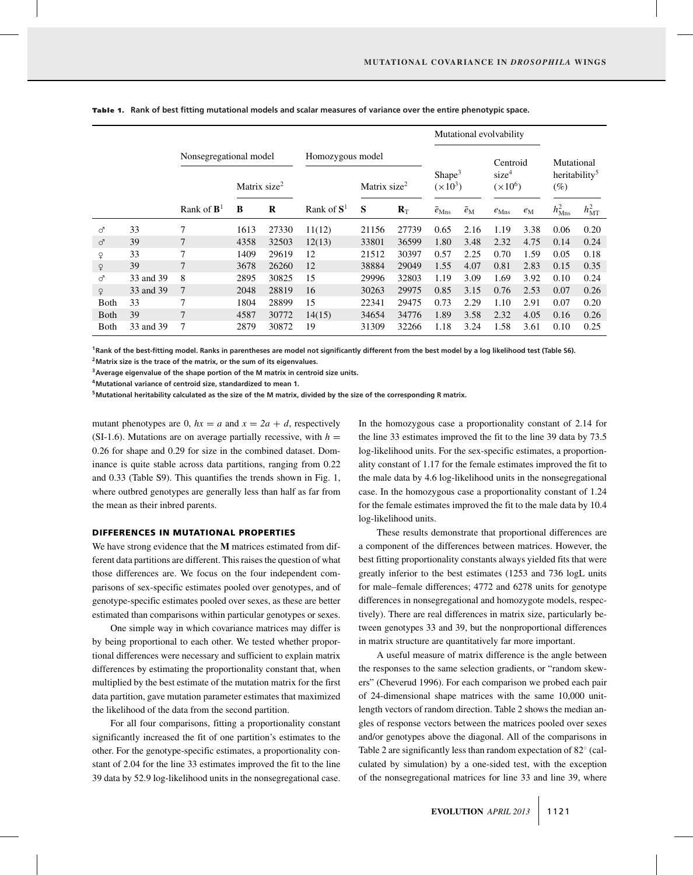|              |           |                                                    |      |                                              |               |       |                                 | Mutational evolvability |                                            |                  |                                                   |                    |                |
|--------------|-----------|----------------------------------------------------|------|----------------------------------------------|---------------|-------|---------------------------------|-------------------------|--------------------------------------------|------------------|---------------------------------------------------|--------------------|----------------|
|              |           | Nonsegregational model<br>Matrix size <sup>2</sup> |      | Homozygous model<br>Matrix size <sup>2</sup> |               |       | Shape <sup>3</sup><br>$(x10^3)$ |                         | Centroid<br>size <sup>4</sup><br>$(x10^6)$ |                  | Mutational<br>heritability <sup>5</sup><br>$(\%)$ |                    |                |
|              |           |                                                    |      |                                              |               |       |                                 |                         |                                            |                  |                                                   |                    |                |
|              |           | Rank of $\mathbf{B}^1$                             | B    | R                                            | Rank of $S^1$ | S     | $R_{\rm T}$                     | $\bar{e}_{\rm Mns}$     | $\bar{e}_{\rm M}$                          | $e_{\text{Mns}}$ | $e_{\rm M}$                                       | $h_{\text{Mns}}^2$ | $h_{\rm MT}^2$ |
| ♂            | 33        | 7                                                  | 1613 | 27330                                        | 11(12)        | 21156 | 27739                           | 0.65                    | 2.16                                       | 1.19             | 3.38                                              | 0.06               | 0.20           |
| ♂            | 39        |                                                    | 4358 | 32503                                        | 12(13)        | 33801 | 36599                           | 1.80                    | 3.48                                       | 2.32             | 4.75                                              | 0.14               | 0.24           |
| ¥            | 33        | 7                                                  | 1409 | 29619                                        | 12            | 21512 | 30397                           | 0.57                    | 2.25                                       | 0.70             | 1.59                                              | 0.05               | 0.18           |
| $\mathsf{P}$ | 39        | 7                                                  | 3678 | 26260                                        | 12            | 38884 | 29049                           | 1.55                    | 4.07                                       | 0.81             | 2.83                                              | 0.15               | 0.35           |
| ♂            | 33 and 39 | 8                                                  | 2895 | 30825                                        | 15            | 29996 | 32803                           | 1.19                    | 3.09                                       | 1.69             | 3.92                                              | 0.10               | 0.24           |
| $\mathsf{Q}$ | 33 and 39 | 7                                                  | 2048 | 28819                                        | 16            | 30263 | 29975                           | 0.85                    | 3.15                                       | 0.76             | 2.53                                              | 0.07               | 0.26           |
| <b>Both</b>  | 33        | 7                                                  | 1804 | 28899                                        | 15            | 22341 | 29475                           | 0.73                    | 2.29                                       | 1.10             | 2.91                                              | 0.07               | 0.20           |
| <b>B</b> oth | 39        | 7                                                  | 4587 | 30772                                        | 14(15)        | 34654 | 34776                           | 1.89                    | 3.58                                       | 2.32             | 4.05                                              | 0.16               | 0.26           |
| Both         | 33 and 39 | 7                                                  | 2879 | 30872                                        | 19            | 31309 | 32266                           | 1.18                    | 3.24                                       | 1.58             | 3.61                                              | 0.10               | 0.25           |

**Table 1.** Rank of best fitting mutational models and scalar measures of variance over the entire phenotypic space.

**1Rank of the best-fitting model. Ranks in parentheses are model not significantly different from the best model by a log likelihood test (Table S6). 2Matrix size is the trace of the matrix, or the sum of its eigenvalues.**

**3Average eigenvalue of the shape portion of the M matrix in centroid size units.**

**4Mutational variance of centroid size, standardized to mean 1.**

**5Mutational heritability calculated as the size of the M matrix, divided by the size of the corresponding R matrix.**

mutant phenotypes are 0,  $hx = a$  and  $x = 2a + d$ , respectively (SI-1.6). Mutations are on average partially recessive, with  $h =$ 0.26 for shape and 0.29 for size in the combined dataset. Dominance is quite stable across data partitions, ranging from 0.22 and 0.33 (Table S9). This quantifies the trends shown in Fig. 1, where outbred genotypes are generally less than half as far from the mean as their inbred parents.

#### **DIFFERENCES IN MUTATIONAL PROPERTIES**

We have strong evidence that the **M** matrices estimated from different data partitions are different. This raises the question of what those differences are. We focus on the four independent comparisons of sex-specific estimates pooled over genotypes, and of genotype-specific estimates pooled over sexes, as these are better estimated than comparisons within particular genotypes or sexes.

One simple way in which covariance matrices may differ is by being proportional to each other. We tested whether proportional differences were necessary and sufficient to explain matrix differences by estimating the proportionality constant that, when multiplied by the best estimate of the mutation matrix for the first data partition, gave mutation parameter estimates that maximized the likelihood of the data from the second partition.

For all four comparisons, fitting a proportionality constant significantly increased the fit of one partition's estimates to the other. For the genotype-specific estimates, a proportionality constant of 2.04 for the line 33 estimates improved the fit to the line 39 data by 52.9 log-likelihood units in the nonsegregational case. In the homozygous case a proportionality constant of 2.14 for the line 33 estimates improved the fit to the line 39 data by 73.5 log-likelihood units. For the sex-specific estimates, a proportionality constant of 1.17 for the female estimates improved the fit to the male data by 4.6 log-likelihood units in the nonsegregational case. In the homozygous case a proportionality constant of 1.24 for the female estimates improved the fit to the male data by 10.4 log-likelihood units.

These results demonstrate that proportional differences are a component of the differences between matrices. However, the best fitting proportionality constants always yielded fits that were greatly inferior to the best estimates (1253 and 736 logL units for male–female differences; 4772 and 6278 units for genotype differences in nonsegregational and homozygote models, respectively). There are real differences in matrix size, particularly between genotypes 33 and 39, but the nonproportional differences in matrix structure are quantitatively far more important.

A useful measure of matrix difference is the angle between the responses to the same selection gradients, or "random skewers" (Cheverud 1996). For each comparison we probed each pair of 24-dimensional shape matrices with the same 10,000 unitlength vectors of random direction. Table 2 shows the median angles of response vectors between the matrices pooled over sexes and/or genotypes above the diagonal. All of the comparisons in Table 2 are significantly less than random expectation of 82◦ (calculated by simulation) by a one-sided test, with the exception of the nonsegregational matrices for line 33 and line 39, where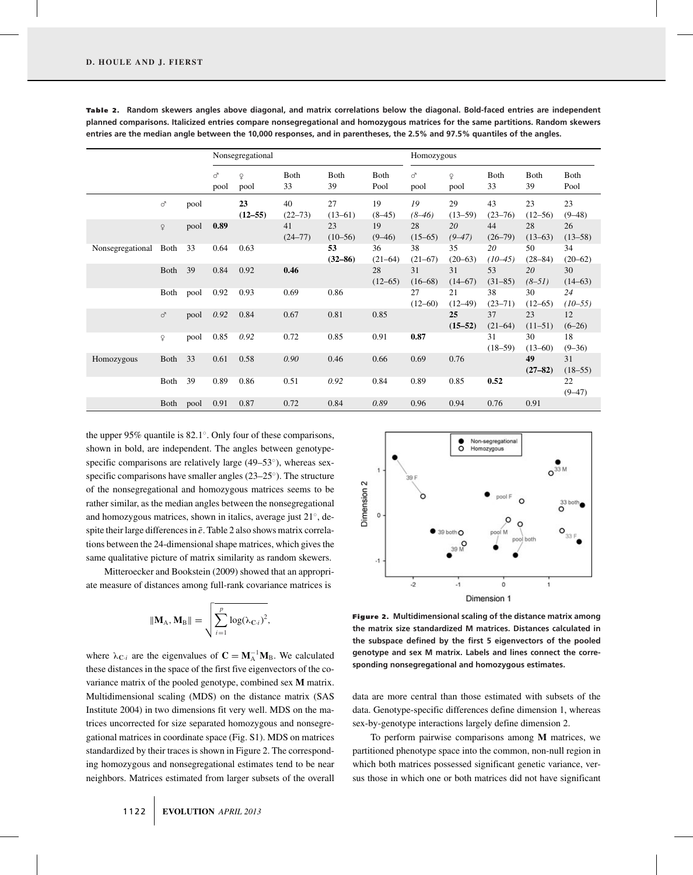|                  |              |      | Nonsegregational |                      |                   |                   | Homozygous          |                   |                      |                   |                    |                  |
|------------------|--------------|------|------------------|----------------------|-------------------|-------------------|---------------------|-------------------|----------------------|-------------------|--------------------|------------------|
|                  |              |      | ♂<br>pool        | $\mathsf{Q}$<br>pool | Both<br>33        | Both<br>39        | <b>Both</b><br>Pool | ♂<br>pool         | $\mathsf{Q}$<br>pool | Both<br>33        | <b>B</b> oth<br>39 | Both<br>Pool     |
|                  | ♂            | pool |                  | 23<br>$(12 - 55)$    | 40<br>$(22 - 73)$ | 27<br>$(13-61)$   | 19<br>$(8-45)$      | 19<br>$(8-46)$    | 29<br>$(13-59)$      | 43<br>$(23 - 76)$ | 23<br>(12–56)      | 23<br>$(9 - 48)$ |
|                  | $\mathsf{Q}$ | pool | 0.89             |                      | 41<br>$(24 - 77)$ | 23<br>$(10-56)$   | 19<br>$(9 - 46)$    | 28<br>$(15-65)$   | 20<br>$(9 - 47)$     | 44<br>$(26 - 79)$ | 28<br>$(13-63)$    | 26<br>$(13-58)$  |
| Nonsegregational | Both         | 33   | 0.64             | 0.63                 |                   | 53<br>$(32 - 86)$ | 36<br>$(21-64)$     | 38<br>$(21-67)$   | 35<br>$(20-63)$      | 20<br>$(10-45)$   | 50<br>$(28 - 84)$  | 34<br>$(20-62)$  |
|                  | Both         | 39   | 0.84             | 0.92                 | 0.46              |                   | 28<br>$(12 - 65)$   | 31<br>$(16-68)$   | 31<br>(14–67)        | 53<br>$(31-85)$   | 20<br>$(8-51)$     | 30<br>(14–63)    |
|                  | Both         | pool | 0.92             | 0.93                 | 0.69              | 0.86              |                     | 27<br>$(12 - 60)$ | 21<br>$(12 - 49)$    | 38<br>$(23 - 71)$ | 30<br>$(12 - 65)$  | 24<br>$(10-55)$  |
|                  | ♂            | pool | 0.92             | 0.84                 | 0.67              | 0.81              | 0.85                |                   | 25<br>$(15-52)$      | 37<br>$(21-64)$   | 23<br>$(11-51)$    | 12<br>$(6-26)$   |
|                  | ¥            | pool | 0.85             | 0.92                 | 0.72              | 0.85              | 0.91                | 0.87              |                      | 31<br>$(18-59)$   | 30<br>$(13-60)$    | 18<br>$(9-36)$   |
| Homozygous       | Both         | 33   | 0.61             | 0.58                 | 0.90              | 0.46              | 0.66                | 0.69              | 0.76                 |                   | 49<br>$(27-82)$    | 31<br>$(18-55)$  |
|                  | Both         | 39   | 0.89             | 0.86                 | 0.51              | 0.92              | 0.84                | 0.89              | 0.85                 | 0.52              |                    | 22<br>$(9-47)$   |
|                  | Both         | pool | 0.91             | 0.87                 | 0.72              | 0.84              | 0.89                | 0.96              | 0.94                 | 0.76              | 0.91               |                  |

**Table 2.** Random skewers angles above diagonal, and matrix correlations below the diagonal. Bold-faced entries are independent **planned comparisons. Italicized entries compare nonsegregational and homozygous matrices for the same partitions. Random skewers entries are the median angle between the 10,000 responses, and in parentheses, the 2.5% and 97.5% quantiles of the angles.**

the upper 95% quantile is 82.1◦. Only four of these comparisons, shown in bold, are independent. The angles between genotypespecific comparisons are relatively large (49–53<sup>°</sup>), whereas sexspecific comparisons have smaller angles (23–25°). The structure of the nonsegregational and homozygous matrices seems to be rather similar, as the median angles between the nonsegregational and homozygous matrices, shown in italics, average just 21◦, despite their large differences in  $\bar{e}$ . Table 2 also shows matrix correlations between the 24-dimensional shape matrices, which gives the same qualitative picture of matrix similarity as random skewers.

Mitteroecker and Bookstein (2009) showed that an appropriate measure of distances among full-rank covariance matrices is

$$
\|\mathbf{M}_{A}, \mathbf{M}_{B}\| = \sqrt{\sum_{i=1}^{p} \log(\lambda_{C \cdot i})^{2}},
$$

where  $\lambda_{\text{C}\textit{i}}$  are the eigenvalues of  $\textbf{C} = \textbf{M}_{\text{A}}^{-1}\textbf{M}_{\text{B}}$ . We calculated these distances in the space of the first five eigenvectors of the covariance matrix of the pooled genotype, combined sex **M** matrix. Multidimensional scaling (MDS) on the distance matrix (SAS Institute 2004) in two dimensions fit very well. MDS on the matrices uncorrected for size separated homozygous and nonsegregational matrices in coordinate space (Fig. S1). MDS on matrices standardized by their traces is shown in Figure 2. The corresponding homozygous and nonsegregational estimates tend to be near neighbors. Matrices estimated from larger subsets of the overall



**Figure 2. Multidimensional scaling of the distance matrix among the matrix size standardized M matrices. Distances calculated in the subspace defined by the first 5 eigenvectors of the pooled genotype and sex M matrix. Labels and lines connect the corresponding nonsegregational and homozygous estimates.**

data are more central than those estimated with subsets of the data. Genotype-specific differences define dimension 1, whereas sex-by-genotype interactions largely define dimension 2.

To perform pairwise comparisons among **M** matrices, we partitioned phenotype space into the common, non-null region in which both matrices possessed significant genetic variance, versus those in which one or both matrices did not have significant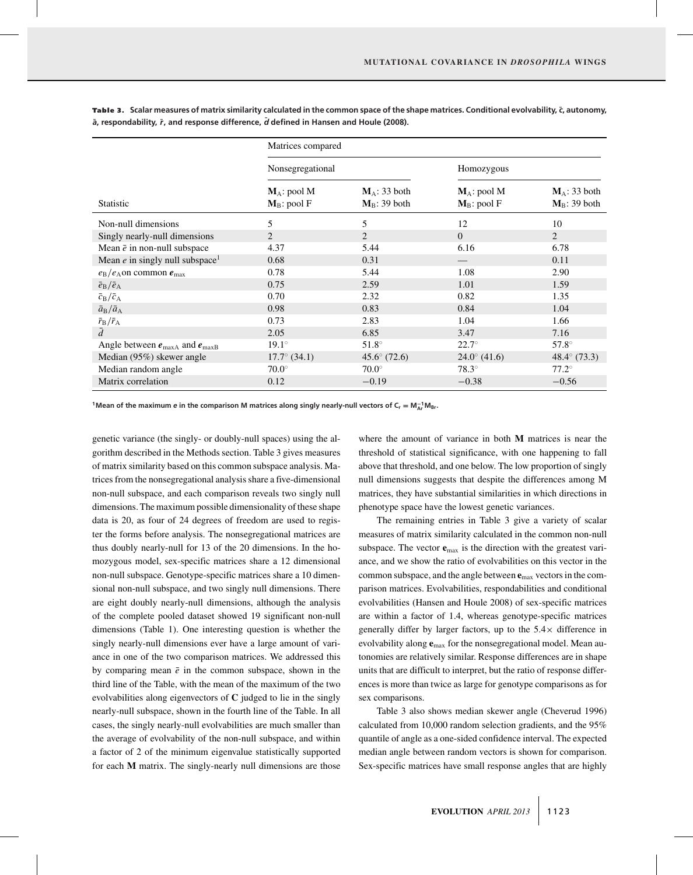|                                                       | Matrices compared                |                                    |                                  |                                    |  |  |  |  |
|-------------------------------------------------------|----------------------------------|------------------------------------|----------------------------------|------------------------------------|--|--|--|--|
|                                                       | Nonsegregational                 |                                    | Homozygous                       |                                    |  |  |  |  |
| <b>Statistic</b>                                      | $M_A$ : pool M<br>$M_B$ : pool F | $M_A$ : 33 both<br>$M_B$ : 39 both | $M_A$ : pool M<br>$M_B$ : pool F | $M_A$ : 33 both<br>$M_B$ : 39 both |  |  |  |  |
| Non-null dimensions                                   | 5                                | 5                                  | 12                               | 10                                 |  |  |  |  |
| Singly nearly-null dimensions                         | $\overline{2}$                   | $\overline{2}$                     | $\Omega$                         | 2                                  |  |  |  |  |
| Mean $\bar{e}$ in non-null subspace                   | 4.37                             | 5.44                               | 6.16                             | 6.78                               |  |  |  |  |
| Mean $e$ in singly null subspace <sup>1</sup>         | 0.68                             | 0.31                               |                                  | 0.11                               |  |  |  |  |
| $e_{\rm B}/e_{\rm A}$ on common $e_{\rm max}$         | 0.78                             | 5.44                               | 1.08                             | 2.90                               |  |  |  |  |
| $\bar{e}_{\rm B}/\bar{e}_{\rm A}$                     | 0.75                             | 2.59                               | 1.01                             | 1.59                               |  |  |  |  |
| $\bar{c}_{\rm B}/\bar{c}_{\rm A}$                     | 0.70                             | 2.32                               | 0.82                             | 1.35                               |  |  |  |  |
| $\bar{a}_{\rm B}/\bar{a}_{\rm A}$                     | 0.98                             | 0.83                               | 0.84                             | 1.04                               |  |  |  |  |
| $\bar{r}_{\rm B}/\bar{r}_{\rm A}$                     | 0.73                             | 2.83                               | 1.04                             | 1.66                               |  |  |  |  |
| $\overline{d}$                                        | 2.05                             | 6.85                               | 3.47                             | 7.16                               |  |  |  |  |
| Angle between $e_{\text{maxA}}$ and $e_{\text{maxB}}$ | $19.1^\circ$                     | $51.8^\circ$                       | $22.7^\circ$                     | $57.8^\circ$                       |  |  |  |  |
| Median (95%) skewer angle                             | $17.7^{\circ}$ (34.1)            | $45.6^{\circ}$ (72.6)              | $24.0^{\circ}$ (41.6)            | 48.4 $\degree$ (73.3)              |  |  |  |  |
| Median random angle                                   | $70.0^\circ$                     | $70.0^\circ$                       | $78.3^\circ$                     | $77.2^\circ$                       |  |  |  |  |
| Matrix correlation                                    | 0.12                             | $-0.19$                            | $-0.38$                          | $-0.56$                            |  |  |  |  |

Table 3. Scalar measures of matrix similarity calculated in the common space of the shape matrices. Conditional evolvability,  $\bar{c}$ , autonomy,  $\bar{a}$ , respondability,  $\bar{r}$ , and response difference,  $\bar{d}$  defined in Hansen and Houle (2008).

**1Mean of the maximum**  $e$  **in the comparison M matrices along singly nearly-null vectors of**  $C_r = M_{A_r}^{-1}M_{Br}$ **.** 

genetic variance (the singly- or doubly-null spaces) using the algorithm described in the Methods section. Table 3 gives measures of matrix similarity based on this common subspace analysis. Matrices from the nonsegregational analysis share a five-dimensional non-null subspace, and each comparison reveals two singly null dimensions. The maximum possible dimensionality of these shape data is 20, as four of 24 degrees of freedom are used to register the forms before analysis. The nonsegregational matrices are thus doubly nearly-null for 13 of the 20 dimensions. In the homozygous model, sex-specific matrices share a 12 dimensional non-null subspace. Genotype-specific matrices share a 10 dimensional non-null subspace, and two singly null dimensions. There are eight doubly nearly-null dimensions, although the analysis of the complete pooled dataset showed 19 significant non-null dimensions (Table 1). One interesting question is whether the singly nearly-null dimensions ever have a large amount of variance in one of the two comparison matrices. We addressed this by comparing mean  $\bar{e}$  in the common subspace, shown in the third line of the Table, with the mean of the maximum of the two evolvabilities along eigenvectors of **C** judged to lie in the singly nearly-null subspace, shown in the fourth line of the Table. In all cases, the singly nearly-null evolvabilities are much smaller than the average of evolvability of the non-null subspace, and within a factor of 2 of the minimum eigenvalue statistically supported for each **M** matrix. The singly-nearly null dimensions are those where the amount of variance in both **M** matrices is near the threshold of statistical significance, with one happening to fall above that threshold, and one below. The low proportion of singly null dimensions suggests that despite the differences among M matrices, they have substantial similarities in which directions in phenotype space have the lowest genetic variances.

The remaining entries in Table 3 give a variety of scalar measures of matrix similarity calculated in the common non-null subspace. The vector  $\mathbf{e}_{\text{max}}$  is the direction with the greatest variance, and we show the ratio of evolvabilities on this vector in the common subspace, and the angle between **e**max vectors in the comparison matrices. Evolvabilities, respondabilities and conditional evolvabilities (Hansen and Houle 2008) of sex-specific matrices are within a factor of 1.4, whereas genotype-specific matrices generally differ by larger factors, up to the  $5.4\times$  difference in evolvability along **e**max for the nonsegregational model. Mean autonomies are relatively similar. Response differences are in shape units that are difficult to interpret, but the ratio of response differences is more than twice as large for genotype comparisons as for sex comparisons.

Table 3 also shows median skewer angle (Cheverud 1996) calculated from 10,000 random selection gradients, and the 95% quantile of angle as a one-sided confidence interval. The expected median angle between random vectors is shown for comparison. Sex-specific matrices have small response angles that are highly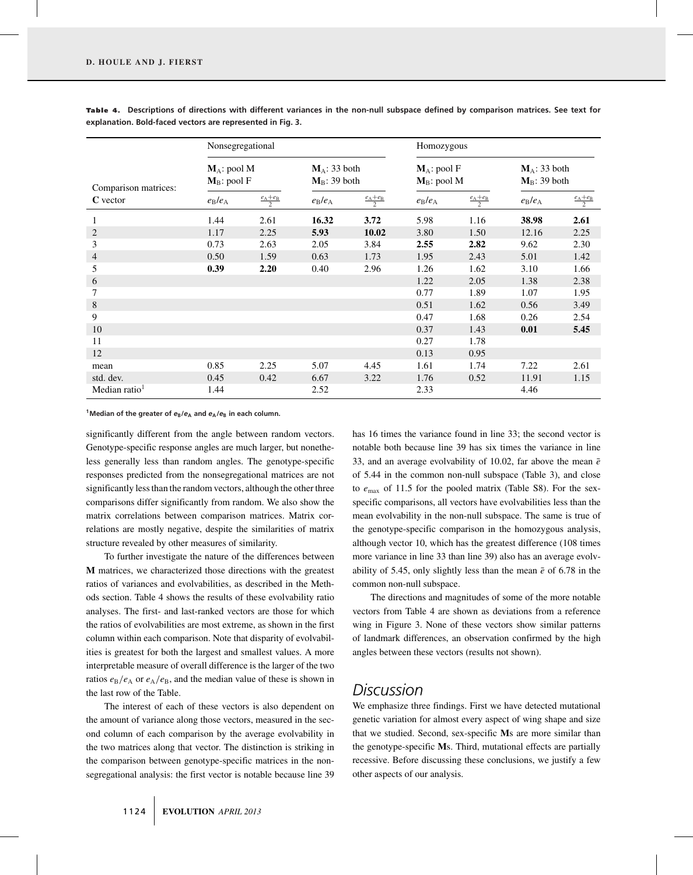|                      | Nonsegregational                 |                                 |                                    |                                 | Homozygous                       |                                 |                                    |                                 |  |  |  |
|----------------------|----------------------------------|---------------------------------|------------------------------------|---------------------------------|----------------------------------|---------------------------------|------------------------------------|---------------------------------|--|--|--|
| Comparison matrices: | $M_A$ : pool M<br>$M_B$ : pool F |                                 | $M_A$ : 33 both<br>$M_B$ : 39 both |                                 | $M_A$ : pool F<br>$M_B$ : pool M |                                 | $M_A$ : 33 both<br>$M_B$ : 39 both |                                 |  |  |  |
| C vector             | $e_{\rm B}/e_{\rm A}$            | $\frac{e_{\rm A}+e_{\rm B}}{2}$ | $e_{\rm B}/e_{\rm A}$              | $\frac{e_{\rm A}+e_{\rm B}}{2}$ | $e_{\rm B}/e_{\rm A}$            | $\frac{e_{\rm A}+e_{\rm B}}{2}$ | $e_{\rm B}/e_{\rm A}$              | $\frac{e_{\rm A}+e_{\rm B}}{2}$ |  |  |  |
| 1                    | 1.44                             | 2.61                            | 16.32                              | 3.72                            | 5.98                             | 1.16                            | 38.98                              | 2.61                            |  |  |  |
| $\overline{2}$       | 1.17                             | 2.25                            | 5.93                               | 10.02                           | 3.80                             | 1.50                            | 12.16                              | 2.25                            |  |  |  |
| 3                    | 0.73                             | 2.63                            | 2.05                               | 3.84                            | 2.55                             | 2.82                            | 9.62                               | 2.30                            |  |  |  |
| 4                    | 0.50                             | 1.59                            | 0.63                               | 1.73                            | 1.95                             | 2.43                            | 5.01                               | 1.42                            |  |  |  |
| 5                    | 0.39                             | 2.20                            | 0.40                               | 2.96                            | 1.26                             | 1.62                            | 3.10                               | 1.66                            |  |  |  |
| 6                    |                                  |                                 |                                    |                                 | 1.22                             | 2.05                            | 1.38                               | 2.38                            |  |  |  |
| 7                    |                                  |                                 |                                    |                                 | 0.77                             | 1.89                            | 1.07                               | 1.95                            |  |  |  |
| 8                    |                                  |                                 |                                    |                                 | 0.51                             | 1.62                            | 0.56                               | 3.49                            |  |  |  |
| 9                    |                                  |                                 |                                    |                                 | 0.47                             | 1.68                            | 0.26                               | 2.54                            |  |  |  |
| 10                   |                                  |                                 |                                    |                                 | 0.37                             | 1.43                            | 0.01                               | 5.45                            |  |  |  |
| 11                   |                                  |                                 |                                    |                                 | 0.27                             | 1.78                            |                                    |                                 |  |  |  |
| 12                   |                                  |                                 |                                    |                                 | 0.13                             | 0.95                            |                                    |                                 |  |  |  |
| mean                 | 0.85                             | 2.25                            | 5.07                               | 4.45                            | 1.61                             | 1.74                            | 7.22                               | 2.61                            |  |  |  |
| std. dev.            | 0.45                             | 0.42                            | 6.67                               | 3.22                            | 1.76                             | 0.52                            | 11.91                              | 1.15                            |  |  |  |
| Median ratio $1$     | 1.44                             |                                 | 2.52                               |                                 | 2.33                             |                                 | 4.46                               |                                 |  |  |  |

Table 4. Descriptions of directions with different variances in the non-null subspace defined by comparison matrices. See text for **explanation. Bold-faced vectors are represented in Fig. 3.**

**1Median of the greater of** *e***B/***e***<sup>A</sup> and** *e***A/***e***<sup>B</sup> in each column.**

significantly different from the angle between random vectors. Genotype-specific response angles are much larger, but nonetheless generally less than random angles. The genotype-specific responses predicted from the nonsegregational matrices are not significantly less than the random vectors, although the other three comparisons differ significantly from random. We also show the matrix correlations between comparison matrices. Matrix correlations are mostly negative, despite the similarities of matrix structure revealed by other measures of similarity.

To further investigate the nature of the differences between **M** matrices, we characterized those directions with the greatest ratios of variances and evolvabilities, as described in the Methods section. Table 4 shows the results of these evolvability ratio analyses. The first- and last-ranked vectors are those for which the ratios of evolvabilities are most extreme, as shown in the first column within each comparison. Note that disparity of evolvabilities is greatest for both the largest and smallest values. A more interpretable measure of overall difference is the larger of the two ratios  $e_B/e_A$  or  $e_A/e_B$ , and the median value of these is shown in the last row of the Table.

The interest of each of these vectors is also dependent on the amount of variance along those vectors, measured in the second column of each comparison by the average evolvability in the two matrices along that vector. The distinction is striking in the comparison between genotype-specific matrices in the nonsegregational analysis: the first vector is notable because line 39 has 16 times the variance found in line 33; the second vector is notable both because line 39 has six times the variance in line 33, and an average evolvability of 10.02, far above the mean  $\bar{e}$ of 5.44 in the common non-null subspace (Table 3), and close to *e*max of 11.5 for the pooled matrix (Table S8). For the sexspecific comparisons, all vectors have evolvabilities less than the mean evolvability in the non-null subspace. The same is true of the genotype-specific comparison in the homozygous analysis, although vector 10, which has the greatest difference (108 times more variance in line 33 than line 39) also has an average evolvability of 5.45, only slightly less than the mean  $\bar{e}$  of 6.78 in the common non-null subspace.

The directions and magnitudes of some of the more notable vectors from Table 4 are shown as deviations from a reference wing in Figure 3. None of these vectors show similar patterns of landmark differences, an observation confirmed by the high angles between these vectors (results not shown).

### *Discussion*

We emphasize three findings. First we have detected mutational genetic variation for almost every aspect of wing shape and size that we studied. Second, sex-specific **M**s are more similar than the genotype-specific **M**s. Third, mutational effects are partially recessive. Before discussing these conclusions, we justify a few other aspects of our analysis.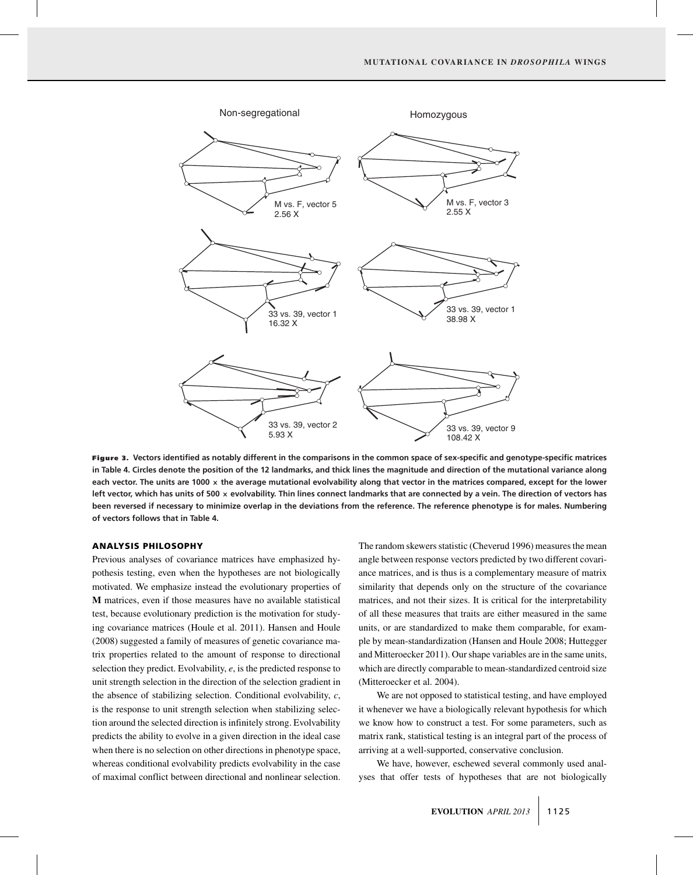

**Figure 3. Vectors identified as notably different in the comparisons in the common space of sex-specific and genotype-specific matrices in Table 4. Circles denote the position of the 12 landmarks, and thick lines the magnitude and direction of the mutational variance along each vector. The units are 1000 × the average mutational evolvability along that vector in the matrices compared, except for the lower left vector, which has units of 500 × evolvability. Thin lines connect landmarks that are connected by a vein. The direction of vectors has been reversed if necessary to minimize overlap in the deviations from the reference. The reference phenotype is for males. Numbering of vectors follows that in Table 4.**

#### **ANALYSIS PHILOSOPHY**

Previous analyses of covariance matrices have emphasized hypothesis testing, even when the hypotheses are not biologically motivated. We emphasize instead the evolutionary properties of **M** matrices, even if those measures have no available statistical test, because evolutionary prediction is the motivation for studying covariance matrices (Houle et al. 2011). Hansen and Houle (2008) suggested a family of measures of genetic covariance matrix properties related to the amount of response to directional selection they predict. Evolvability, *e*, is the predicted response to unit strength selection in the direction of the selection gradient in the absence of stabilizing selection. Conditional evolvability, *c*, is the response to unit strength selection when stabilizing selection around the selected direction is infinitely strong. Evolvability predicts the ability to evolve in a given direction in the ideal case when there is no selection on other directions in phenotype space, whereas conditional evolvability predicts evolvability in the case of maximal conflict between directional and nonlinear selection. The random skewers statistic (Cheverud 1996) measures the mean angle between response vectors predicted by two different covariance matrices, and is thus is a complementary measure of matrix similarity that depends only on the structure of the covariance matrices, and not their sizes. It is critical for the interpretability of all these measures that traits are either measured in the same units, or are standardized to make them comparable, for example by mean-standardization (Hansen and Houle 2008; Huttegger and Mitteroecker 2011). Our shape variables are in the same units, which are directly comparable to mean-standardized centroid size (Mitteroecker et al. 2004).

We are not opposed to statistical testing, and have employed it whenever we have a biologically relevant hypothesis for which we know how to construct a test. For some parameters, such as matrix rank, statistical testing is an integral part of the process of arriving at a well-supported, conservative conclusion.

We have, however, eschewed several commonly used analyses that offer tests of hypotheses that are not biologically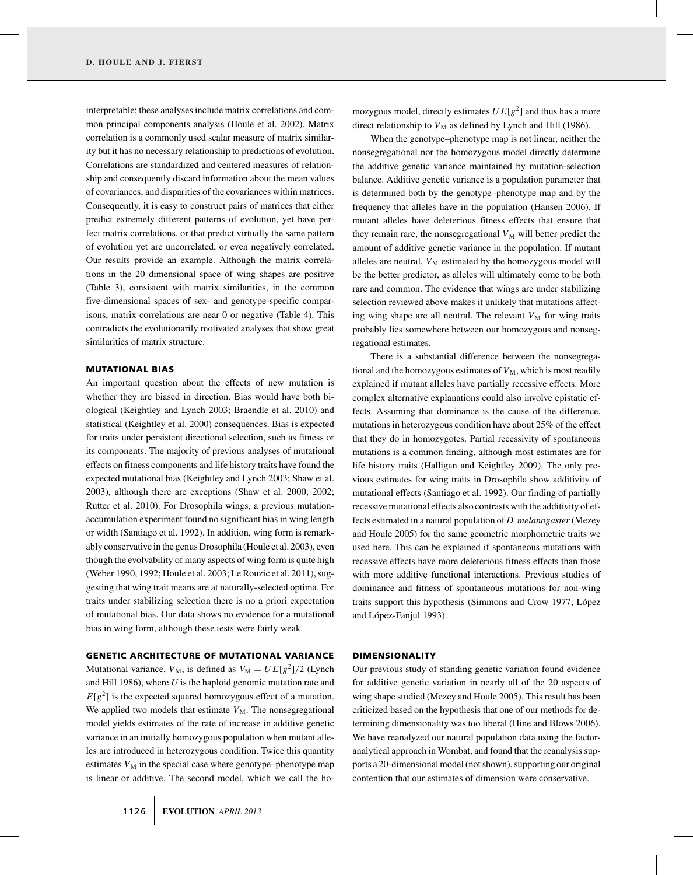interpretable; these analyses include matrix correlations and common principal components analysis (Houle et al. 2002). Matrix correlation is a commonly used scalar measure of matrix similarity but it has no necessary relationship to predictions of evolution. Correlations are standardized and centered measures of relationship and consequently discard information about the mean values of covariances, and disparities of the covariances within matrices. Consequently, it is easy to construct pairs of matrices that either predict extremely different patterns of evolution, yet have perfect matrix correlations, or that predict virtually the same pattern of evolution yet are uncorrelated, or even negatively correlated. Our results provide an example. Although the matrix correlations in the 20 dimensional space of wing shapes are positive (Table 3), consistent with matrix similarities, in the common five-dimensional spaces of sex- and genotype-specific comparisons, matrix correlations are near 0 or negative (Table 4). This contradicts the evolutionarily motivated analyses that show great similarities of matrix structure.

#### **MUTATIONAL BIAS**

An important question about the effects of new mutation is whether they are biased in direction. Bias would have both biological (Keightley and Lynch 2003; Braendle et al. 2010) and statistical (Keightley et al. 2000) consequences. Bias is expected for traits under persistent directional selection, such as fitness or its components. The majority of previous analyses of mutational effects on fitness components and life history traits have found the expected mutational bias (Keightley and Lynch 2003; Shaw et al. 2003), although there are exceptions (Shaw et al. 2000; 2002; Rutter et al. 2010). For Drosophila wings, a previous mutationaccumulation experiment found no significant bias in wing length or width (Santiago et al. 1992). In addition, wing form is remarkably conservative in the genus Drosophila (Houle et al. 2003), even though the evolvability of many aspects of wing form is quite high (Weber 1990, 1992; Houle et al. 2003; Le Rouzic et al. 2011), suggesting that wing trait means are at naturally-selected optima. For traits under stabilizing selection there is no a priori expectation of mutational bias. Our data shows no evidence for a mutational bias in wing form, although these tests were fairly weak.

#### **GENETIC ARCHITECTURE OF MUTATIONAL VARIANCE**

Mutational variance,  $V_M$ , is defined as  $V_M = UE[g^2]/2$  (Lynch and Hill 1986), where *U* is the haploid genomic mutation rate and  $E[g^2]$  is the expected squared homozygous effect of a mutation. We applied two models that estimate  $V_M$ . The nonsegregational model yields estimates of the rate of increase in additive genetic variance in an initially homozygous population when mutant alleles are introduced in heterozygous condition. Twice this quantity estimates  $V_M$  in the special case where genotype–phenotype map is linear or additive. The second model, which we call the homozygous model, directly estimates  $UE[g^2]$  and thus has a more direct relationship to  $V_M$  as defined by Lynch and Hill (1986).

When the genotype–phenotype map is not linear, neither the nonsegregational nor the homozygous model directly determine the additive genetic variance maintained by mutation-selection balance. Additive genetic variance is a population parameter that is determined both by the genotype–phenotype map and by the frequency that alleles have in the population (Hansen 2006). If mutant alleles have deleterious fitness effects that ensure that they remain rare, the nonsegregational  $V_M$  will better predict the amount of additive genetic variance in the population. If mutant alleles are neutral,  $V_M$  estimated by the homozygous model will be the better predictor, as alleles will ultimately come to be both rare and common. The evidence that wings are under stabilizing selection reviewed above makes it unlikely that mutations affecting wing shape are all neutral. The relevant  $V_M$  for wing traits probably lies somewhere between our homozygous and nonsegregational estimates.

There is a substantial difference between the nonsegregational and the homozygous estimates of  $V_M$ , which is most readily explained if mutant alleles have partially recessive effects. More complex alternative explanations could also involve epistatic effects. Assuming that dominance is the cause of the difference, mutations in heterozygous condition have about 25% of the effect that they do in homozygotes. Partial recessivity of spontaneous mutations is a common finding, although most estimates are for life history traits (Halligan and Keightley 2009). The only previous estimates for wing traits in Drosophila show additivity of mutational effects (Santiago et al. 1992). Our finding of partially recessive mutational effects also contrasts with the additivity of effects estimated in a natural population of *D. melanogaster* (Mezey and Houle 2005) for the same geometric morphometric traits we used here. This can be explained if spontaneous mutations with recessive effects have more deleterious fitness effects than those with more additive functional interactions. Previous studies of dominance and fitness of spontaneous mutations for non-wing traits support this hypothesis (Simmons and Crow 1977; López and López-Fanjul 1993).

#### **DIMENSIONALITY**

Our previous study of standing genetic variation found evidence for additive genetic variation in nearly all of the 20 aspects of wing shape studied (Mezey and Houle 2005). This result has been criticized based on the hypothesis that one of our methods for determining dimensionality was too liberal (Hine and Blows 2006). We have reanalyzed our natural population data using the factoranalytical approach in Wombat, and found that the reanalysis supports a 20-dimensional model (not shown), supporting our original contention that our estimates of dimension were conservative.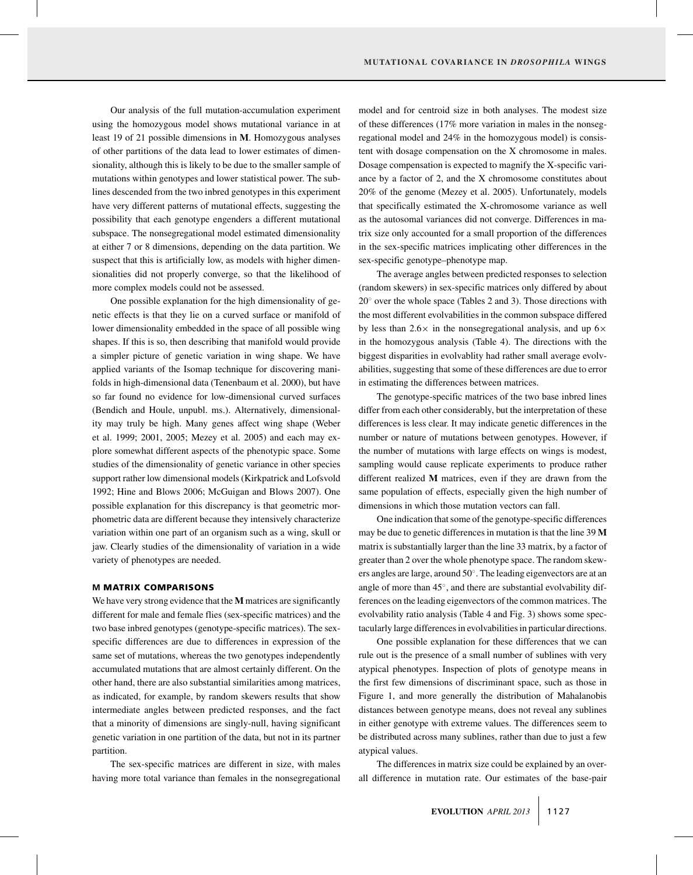Our analysis of the full mutation-accumulation experiment using the homozygous model shows mutational variance in at least 19 of 21 possible dimensions in **M**. Homozygous analyses of other partitions of the data lead to lower estimates of dimensionality, although this is likely to be due to the smaller sample of mutations within genotypes and lower statistical power. The sublines descended from the two inbred genotypes in this experiment have very different patterns of mutational effects, suggesting the possibility that each genotype engenders a different mutational subspace. The nonsegregational model estimated dimensionality at either 7 or 8 dimensions, depending on the data partition. We suspect that this is artificially low, as models with higher dimensionalities did not properly converge, so that the likelihood of more complex models could not be assessed.

One possible explanation for the high dimensionality of genetic effects is that they lie on a curved surface or manifold of lower dimensionality embedded in the space of all possible wing shapes. If this is so, then describing that manifold would provide a simpler picture of genetic variation in wing shape. We have applied variants of the Isomap technique for discovering manifolds in high-dimensional data (Tenenbaum et al. 2000), but have so far found no evidence for low-dimensional curved surfaces (Bendich and Houle, unpubl. ms.). Alternatively, dimensionality may truly be high. Many genes affect wing shape (Weber et al. 1999; 2001, 2005; Mezey et al. 2005) and each may explore somewhat different aspects of the phenotypic space. Some studies of the dimensionality of genetic variance in other species support rather low dimensional models (Kirkpatrick and Lofsvold 1992; Hine and Blows 2006; McGuigan and Blows 2007). One possible explanation for this discrepancy is that geometric morphometric data are different because they intensively characterize variation within one part of an organism such as a wing, skull or jaw. Clearly studies of the dimensionality of variation in a wide variety of phenotypes are needed.

#### **M MATRIX COMPARISONS**

We have very strong evidence that the **M** matrices are significantly different for male and female flies (sex-specific matrices) and the two base inbred genotypes (genotype-specific matrices). The sexspecific differences are due to differences in expression of the same set of mutations, whereas the two genotypes independently accumulated mutations that are almost certainly different. On the other hand, there are also substantial similarities among matrices, as indicated, for example, by random skewers results that show intermediate angles between predicted responses, and the fact that a minority of dimensions are singly-null, having significant genetic variation in one partition of the data, but not in its partner partition.

The sex-specific matrices are different in size, with males having more total variance than females in the nonsegregational model and for centroid size in both analyses. The modest size of these differences (17% more variation in males in the nonsegregational model and 24% in the homozygous model) is consistent with dosage compensation on the X chromosome in males. Dosage compensation is expected to magnify the X-specific variance by a factor of 2, and the X chromosome constitutes about 20% of the genome (Mezey et al. 2005). Unfortunately, models that specifically estimated the X-chromosome variance as well as the autosomal variances did not converge. Differences in matrix size only accounted for a small proportion of the differences in the sex-specific matrices implicating other differences in the sex-specific genotype–phenotype map.

The average angles between predicted responses to selection (random skewers) in sex-specific matrices only differed by about  $20°$  over the whole space (Tables 2 and 3). Those directions with the most different evolvabilities in the common subspace differed by less than  $2.6\times$  in the nonsegregational analysis, and up  $6\times$ in the homozygous analysis (Table 4). The directions with the biggest disparities in evolvablity had rather small average evolvabilities, suggesting that some of these differences are due to error in estimating the differences between matrices.

The genotype-specific matrices of the two base inbred lines differ from each other considerably, but the interpretation of these differences is less clear. It may indicate genetic differences in the number or nature of mutations between genotypes. However, if the number of mutations with large effects on wings is modest, sampling would cause replicate experiments to produce rather different realized **M** matrices, even if they are drawn from the same population of effects, especially given the high number of dimensions in which those mutation vectors can fall.

One indication that some of the genotype-specific differences may be due to genetic differences in mutation is that the line 39 **M** matrix is substantially larger than the line 33 matrix, by a factor of greater than 2 over the whole phenotype space. The random skewers angles are large, around 50◦. The leading eigenvectors are at an angle of more than 45◦, and there are substantial evolvability differences on the leading eigenvectors of the common matrices. The evolvability ratio analysis (Table 4 and Fig. 3) shows some spectacularly large differences in evolvabilities in particular directions.

One possible explanation for these differences that we can rule out is the presence of a small number of sublines with very atypical phenotypes. Inspection of plots of genotype means in the first few dimensions of discriminant space, such as those in Figure 1, and more generally the distribution of Mahalanobis distances between genotype means, does not reveal any sublines in either genotype with extreme values. The differences seem to be distributed across many sublines, rather than due to just a few atypical values.

The differences in matrix size could be explained by an overall difference in mutation rate. Our estimates of the base-pair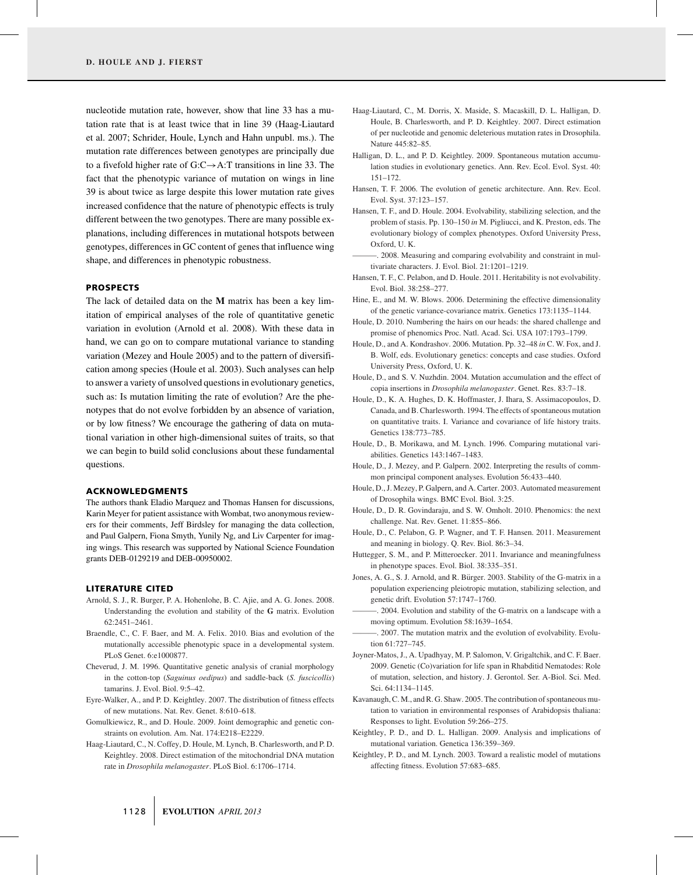nucleotide mutation rate, however, show that line 33 has a mutation rate that is at least twice that in line 39 (Haag-Liautard et al. 2007; Schrider, Houle, Lynch and Hahn unpubl. ms.). The mutation rate differences between genotypes are principally due to a fivefold higher rate of G:C→A:T transitions in line 33. The fact that the phenotypic variance of mutation on wings in line 39 is about twice as large despite this lower mutation rate gives increased confidence that the nature of phenotypic effects is truly different between the two genotypes. There are many possible explanations, including differences in mutational hotspots between genotypes, differences in GC content of genes that influence wing shape, and differences in phenotypic robustness.

#### **PROSPECTS**

The lack of detailed data on the **M** matrix has been a key limitation of empirical analyses of the role of quantitative genetic variation in evolution (Arnold et al. 2008). With these data in hand, we can go on to compare mutational variance to standing variation (Mezey and Houle 2005) and to the pattern of diversification among species (Houle et al. 2003). Such analyses can help to answer a variety of unsolved questions in evolutionary genetics, such as: Is mutation limiting the rate of evolution? Are the phenotypes that do not evolve forbidden by an absence of variation, or by low fitness? We encourage the gathering of data on mutational variation in other high-dimensional suites of traits, so that we can begin to build solid conclusions about these fundamental questions.

#### **ACKNOWLEDGMENTS**

The authors thank Eladio Marquez and Thomas Hansen for discussions, Karin Meyer for patient assistance with Wombat, two anonymous reviewers for their comments, Jeff Birdsley for managing the data collection, and Paul Galpern, Fiona Smyth, Yunily Ng, and Liv Carpenter for imaging wings. This research was supported by National Science Foundation grants DEB-0129219 and DEB-00950002.

#### **LITERATURE CITED**

- Arnold, S. J., R. Burger, P. A. Hohenlohe, B. C. Ajie, and A. G. Jones. 2008. Understanding the evolution and stability of the **G** matrix. Evolution 62:2451–2461.
- Braendle, C., C. F. Baer, and M. A. Felix. 2010. Bias and evolution of the mutationally accessible phenotypic space in a developmental system. PLoS Genet. 6:e1000877.
- Cheverud, J. M. 1996. Quantitative genetic analysis of cranial morphology in the cotton-top (*Saguinus oedipus*) and saddle-back (*S. fuscicollis*) tamarins. J. Evol. Biol. 9:5–42.
- Eyre-Walker, A., and P. D. Keightley. 2007. The distribution of fitness effects of new mutations. Nat. Rev. Genet. 8:610–618.
- Gomulkiewicz, R., and D. Houle. 2009. Joint demographic and genetic constraints on evolution. Am. Nat. 174:E218–E2229.
- Haag-Liautard, C., N. Coffey, D. Houle, M. Lynch, B. Charlesworth, and P. D. Keightley. 2008. Direct estimation of the mitochondrial DNA mutation rate in *Drosophila melanogaster*. PLoS Biol. 6:1706–1714.
- Haag-Liautard, C., M. Dorris, X. Maside, S. Macaskill, D. L. Halligan, D. Houle, B. Charlesworth, and P. D. Keightley. 2007. Direct estimation of per nucleotide and genomic deleterious mutation rates in Drosophila. Nature 445:82–85.
- Halligan, D. L., and P. D. Keightley. 2009. Spontaneous mutation accumulation studies in evolutionary genetics. Ann. Rev. Ecol. Evol. Syst. 40: 151–172.
- Hansen, T. F. 2006. The evolution of genetic architecture. Ann. Rev. Ecol. Evol. Syst. 37:123–157.
- Hansen, T. F., and D. Houle. 2004. Evolvability, stabilizing selection, and the problem of stasis. Pp. 130–150 *in* M. Pigliucci, and K. Preston, eds. The evolutionary biology of complex phenotypes. Oxford University Press, Oxford, U. K.
- ———. 2008. Measuring and comparing evolvability and constraint in multivariate characters. J. Evol. Biol. 21:1201–1219.
- Hansen, T. F., C. Pelabon, and D. Houle. 2011. Heritability is not evolvability. Evol. Biol. 38:258–277.
- Hine, E., and M. W. Blows. 2006. Determining the effective dimensionality of the genetic variance-covariance matrix. Genetics 173:1135–1144.
- Houle, D. 2010. Numbering the hairs on our heads: the shared challenge and promise of phenomics Proc. Natl. Acad. Sci. USA 107:1793–1799.
- Houle, D., and A. Kondrashov. 2006. Mutation. Pp. 32–48 *in* C. W. Fox, and J. B. Wolf, eds. Evolutionary genetics: concepts and case studies. Oxford University Press, Oxford, U. K.
- Houle, D., and S. V. Nuzhdin. 2004. Mutation accumulation and the effect of copia insertions in *Drosophila melanogaster*. Genet. Res. 83:7–18.
- Houle, D., K. A. Hughes, D. K. Hoffmaster, J. Ihara, S. Assimacopoulos, D. Canada, and B. Charlesworth. 1994. The effects of spontaneous mutation on quantitative traits. I. Variance and covariance of life history traits. Genetics 138:773–785.
- Houle, D., B. Morikawa, and M. Lynch. 1996. Comparing mutational variabilities. Genetics 143:1467–1483.
- Houle, D., J. Mezey, and P. Galpern. 2002. Interpreting the results of commmon principal component analyses. Evolution 56:433–440.
- Houle, D., J. Mezey, P. Galpern, and A. Carter. 2003. Automated measurement of Drosophila wings. BMC Evol. Biol. 3:25.
- Houle, D., D. R. Govindaraju, and S. W. Omholt. 2010. Phenomics: the next challenge. Nat. Rev. Genet. 11:855–866.
- Houle, D., C. Pelabon, G. P. Wagner, and T. F. Hansen. 2011. Measurement and meaning in biology. Q. Rev. Biol. 86:3–34.
- Huttegger, S. M., and P. Mitteroecker. 2011. Invariance and meaningfulness in phenotype spaces. Evol. Biol. 38:335–351.
- Jones, A. G., S. J. Arnold, and R. Bürger. 2003. Stability of the G-matrix in a population experiencing pleiotropic mutation, stabilizing selection, and genetic drift. Evolution 57:1747–1760.
- -. 2004. Evolution and stability of the G-matrix on a landscape with a moving optimum. Evolution 58:1639–1654.
- -. 2007. The mutation matrix and the evolution of evolvability. Evolution 61:727–745.
- Joyner-Matos, J., A. Upadhyay, M. P. Salomon, V. Grigaltchik, and C. F. Baer. 2009. Genetic (Co)variation for life span in Rhabditid Nematodes: Role of mutation, selection, and history. J. Gerontol. Ser. A-Biol. Sci. Med. Sci. 64:1134–1145.
- Kavanaugh, C. M., and R. G. Shaw. 2005. The contribution of spontaneous mutation to variation in environmental responses of Arabidopsis thaliana: Responses to light. Evolution 59:266–275.
- Keightley, P. D., and D. L. Halligan. 2009. Analysis and implications of mutational variation. Genetica 136:359–369.
- Keightley, P. D., and M. Lynch. 2003. Toward a realistic model of mutations affecting fitness. Evolution 57:683–685.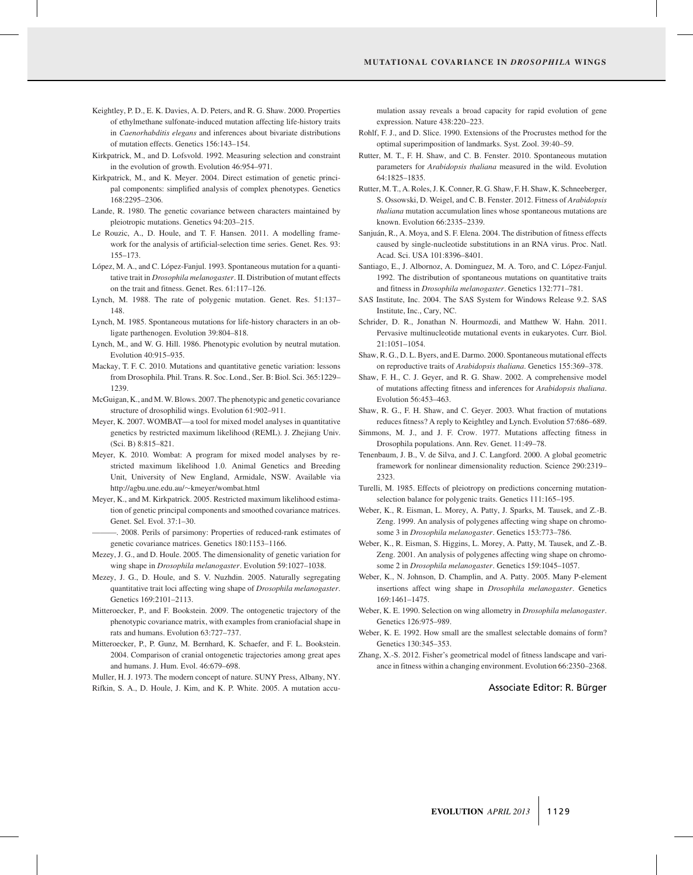- Keightley, P. D., E. K. Davies, A. D. Peters, and R. G. Shaw. 2000. Properties of ethylmethane sulfonate-induced mutation affecting life-history traits in *Caenorhabditis elegans* and inferences about bivariate distributions of mutation effects. Genetics 156:143–154.
- Kirkpatrick, M., and D. Lofsvold. 1992. Measuring selection and constraint in the evolution of growth. Evolution 46:954–971.
- Kirkpatrick, M., and K. Meyer. 2004. Direct estimation of genetic principal components: simplified analysis of complex phenotypes. Genetics 168:2295–2306.
- Lande, R. 1980. The genetic covariance between characters maintained by pleiotropic mutations. Genetics 94:203–215.
- Le Rouzic, A., D. Houle, and T. F. Hansen. 2011. A modelling framework for the analysis of artificial-selection time series. Genet. Res. 93: 155–173.
- López, M. A., and C. López-Fanjul. 1993. Spontaneous mutation for a quantitative trait in *Drosophila melanogaster*. II. Distribution of mutant effects on the trait and fitness. Genet. Res. 61:117–126.
- Lynch, M. 1988. The rate of polygenic mutation. Genet. Res. 51:137– 148.
- Lynch, M. 1985. Spontaneous mutations for life-history characters in an obligate parthenogen. Evolution 39:804–818.
- Lynch, M., and W. G. Hill. 1986. Phenotypic evolution by neutral mutation. Evolution 40:915–935.
- Mackay, T. F. C. 2010. Mutations and quantitative genetic variation: lessons from Drosophila. Phil. Trans. R. Soc. Lond., Ser. B: Biol. Sci. 365:1229– 1239.
- McGuigan, K., and M.W. Blows. 2007. The phenotypic and genetic covariance structure of drosophilid wings. Evolution 61:902–911.
- Meyer, K. 2007. WOMBAT—a tool for mixed model analyses in quantitative genetics by restricted maximum likelihood (REML). J. Zhejiang Univ. (Sci. B) 8:815–821.
- Meyer, K. 2010. Wombat: A program for mixed model analyses by restricted maximum likelihood 1.0. Animal Genetics and Breeding Unit, University of New England, Armidale, NSW. Available via http://agbu.une.edu.au/∼kmeyer/wombat.html
- Meyer, K., and M. Kirkpatrick. 2005. Restricted maximum likelihood estimation of genetic principal components and smoothed covariance matrices. Genet. Sel. Evol. 37:1–30.

———. 2008. Perils of parsimony: Properties of reduced-rank estimates of genetic covariance matrices. Genetics 180:1153–1166.

- Mezey, J. G., and D. Houle. 2005. The dimensionality of genetic variation for wing shape in *Drosophila melanogaster*. Evolution 59:1027–1038.
- Mezey, J. G., D. Houle, and S. V. Nuzhdin. 2005. Naturally segregating quantitative trait loci affecting wing shape of *Drosophila melanogaster*. Genetics 169:2101–2113.
- Mitteroecker, P., and F. Bookstein. 2009. The ontogenetic trajectory of the phenotypic covariance matrix, with examples from craniofacial shape in rats and humans. Evolution 63:727–737.
- Mitteroecker, P., P. Gunz, M. Bernhard, K. Schaefer, and F. L. Bookstein. 2004. Comparison of cranial ontogenetic trajectories among great apes and humans. J. Hum. Evol. 46:679–698.

Muller, H. J. 1973. The modern concept of nature. SUNY Press, Albany, NY.

Rifkin, S. A., D. Houle, J. Kim, and K. P. White. 2005. A mutation accu-

mulation assay reveals a broad capacity for rapid evolution of gene expression. Nature 438:220–223.

- Rohlf, F. J., and D. Slice. 1990. Extensions of the Procrustes method for the optimal superimposition of landmarks. Syst. Zool. 39:40–59.
- Rutter, M. T., F. H. Shaw, and C. B. Fenster. 2010. Spontaneous mutation parameters for *Arabidopsis thaliana* measured in the wild. Evolution 64:1825–1835.
- Rutter, M. T., A. Roles, J. K. Conner, R. G. Shaw, F. H. Shaw, K. Schneeberger, S. Ossowski, D. Weigel, and C. B. Fenster. 2012. Fitness of *Arabidopsis thaliana* mutation accumulation lines whose spontaneous mutations are known. Evolution 66:2335–2339.
- Sanjuán, R., A. Moya, and S. F. Elena. 2004. The distribution of fitness effects caused by single-nucleotide substitutions in an RNA virus. Proc. Natl. Acad. Sci. USA 101:8396–8401.
- Santiago, E., J. Albornoz, A. Dominguez, M. A. Toro, and C. López-Fanjul. 1992. The distribution of spontaneous mutations on quantitative traits and fitness in *Drosophila melanogaster*. Genetics 132:771–781.
- SAS Institute, Inc. 2004. The SAS System for Windows Release 9.2. SAS Institute, Inc., Cary, NC.
- Schrider, D. R., Jonathan N. Hourmozdi, and Matthew W. Hahn. 2011. Pervasive multinucleotide mutational events in eukaryotes. Curr. Biol. 21:1051–1054.
- Shaw, R. G., D. L. Byers, and E. Darmo. 2000. Spontaneous mutational effects on reproductive traits of *Arabidopsis thaliana*. Genetics 155:369–378.
- Shaw, F. H., C. J. Geyer, and R. G. Shaw. 2002. A comprehensive model of mutations affecting fitness and inferences for *Arabidopsis thaliana*. Evolution 56:453–463.
- Shaw, R. G., F. H. Shaw, and C. Geyer. 2003. What fraction of mutations reduces fitness? A reply to Keightley and Lynch. Evolution 57:686–689.
- Simmons, M. J., and J. F. Crow. 1977. Mutations affecting fitness in Drosophila populations. Ann. Rev. Genet. 11:49–78.
- Tenenbaum, J. B., V. de Silva, and J. C. Langford. 2000. A global geometric framework for nonlinear dimensionality reduction. Science 290:2319– 2323.
- Turelli, M. 1985. Effects of pleiotropy on predictions concerning mutationselection balance for polygenic traits. Genetics 111:165–195.
- Weber, K., R. Eisman, L. Morey, A. Patty, J. Sparks, M. Tausek, and Z.-B. Zeng. 1999. An analysis of polygenes affecting wing shape on chromosome 3 in *Drosophila melanogaster*. Genetics 153:773–786.
- Weber, K., R. Eisman, S. Higgins, L. Morey, A. Patty, M. Tausek, and Z.-B. Zeng. 2001. An analysis of polygenes affecting wing shape on chromosome 2 in *Drosophila melanogaster*. Genetics 159:1045–1057.
- Weber, K., N. Johnson, D. Champlin, and A. Patty. 2005. Many P-element insertions affect wing shape in *Drosophila melanogaster*. Genetics 169:1461–1475.
- Weber, K. E. 1990. Selection on wing allometry in *Drosophila melanogaster*. Genetics 126:975–989.
- Weber, K. E. 1992. How small are the smallest selectable domains of form? Genetics 130:345–353.
- Zhang, X.-S. 2012. Fisher's geometrical model of fitness landscape and variance in fitness within a changing environment. Evolution 66:2350–2368.

#### Associate Editor: R. Bürger